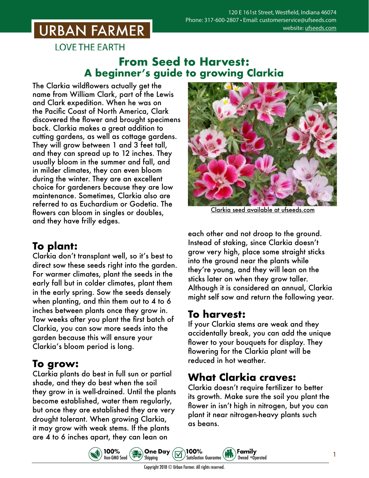## **URBAN FARMER**

**LOVE THE EARTH** 

#### **From Seed to Harvest: A beginner's guide to growing Clarkia**

The Clarkia wildflowers actually get the name from William Clark, part of the Lewis and Clark expedition. When he was on the Pacific Coast of North America, Clark discovered the flower and brought specimens back. Clarkia makes a great addition to cutting gardens, as well as cottage gardens. They will grow between 1 and 3 feet tall, and they can spread up to 12 inches. They usually bloom in the summer and fall, and in milder climates, they can even bloom during the winter. They are an excellent choice for gardeners because they are low maintenance. Sometimes, Clarkia also are referred to as Euchardium or Godetia. The flowers can bloom in singles or doubles, and they have frilly edges.

## **To plant:**

Clarkia don't transplant well, so it's best to direct sow these seeds right into the garden. For warmer climates, plant the seeds in the early fall but in colder climates, plant them in the early spring. Sow the seeds densely when planting, and thin them out to 4 to 6 inches between plants once they grow in. Tow weeks after you plant the first batch of Clarkia, you can sow more seeds into the garden because this will ensure your Clarkia's bloom period is long.

## **To grow:**

CLarkia plants do best in full sun or partial shade, and they do best when the soil they grow in is well-drained. Until the plants become established, water them regularly, but once they are established they are very drought tolerant. When growing Clarkia, it may grow with weak stems. If the plants are 4 to 6 inches apart, they can lean on



Clarkia seed [available at ufseeds.com](https://www.ufseeds.com/product-category/flowers/clarkia/)

each other and not droop to the ground. Instead of staking, since Clarkia doesn't grow very high, place some straight sticks into the ground near the plants while they're young, and they will lean on the sticks later on when they grow taller. Although it is considered an annual, Clarkia might self sow and return the following year.

## **To harvest:**

If your Clarkia stems are weak and they accidentally break, you can add the unique flower to your bouquets for display. They flowering for the Clarkia plant will be reduced in hot weather.

## **What Clarkia craves:**

Family

Owned +Operated

Clarkia doesn't require fertilizer to better its growth. Make sure the soil you plant the flower in isn't high in nitrogen, but you can plant it near nitrogen-heavy plants such as beans.

1